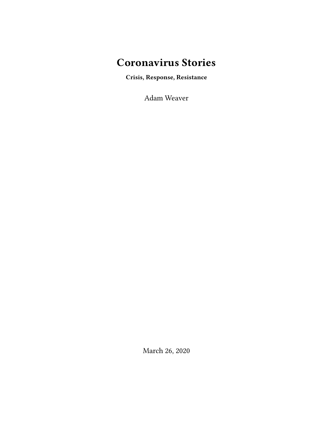# **Coronavirus Stories**

**Crisis, Response, Resistance**

Adam Weaver

March 26, 2020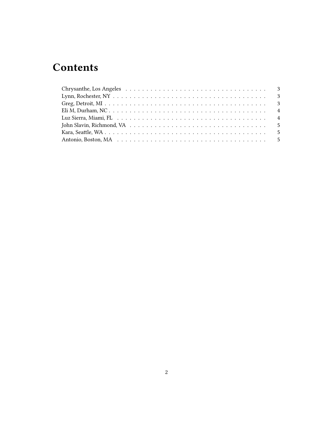# **Contents**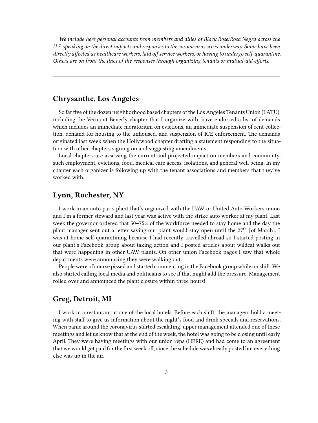*We include here personal accounts from members and allies of Black Rose/Rosa Negra across the U.S. speaking on the direct impacts and responses to the coronavirus crisis underway. Some have been directly affected as healthcare workers, laid off service workers, or having to undergo self-quarantine. Others are on front the lines of the responses through organizing tenants or mutual-aid efforts.*

## <span id="page-2-0"></span>**Chrysanthe, Los Angeles**

So far five of the dozen neighborhood based chapters of the Los Angeles Tenants Union (LATU), including the Vermont Beverly chapter that I organize with, have endorsed a list of demands which includes an immediate moratorium on evictions, an immediate suspension of rent collection, demand for housing to the unhoused, and suspension of ICE enforcement. The demands originated last week when the Hollywood chapter drafting a statement responding to the situation with other chapters signing on and suggesting amendments.

Local chapters are assessing the current and projected impact on members and community, such employment, evictions, food, medical care access, isolations, and general well being. In my chapter each organizer is following up with the tenant associations and members that they've worked with.

## <span id="page-2-1"></span>**Lynn, Rochester, NY**

I work in an auto parts plant that's organized with the UAW or United Auto Workers union and I'm a former steward and last year was active with the strike auto worker at my plant. Last week the governor ordered that 50–75% of the workforce needed to stay home and the day the plant manager sent out a letter saying our plant would stay open until the 27<sup>th</sup> [of March]. I was at home self-quarantining because I had recently travelled abroad so I started posting in our plant's Facebook group about taking action and I posted articles about wildcat walks out that were happening in other UAW plants. On other union Facebook pages I saw that whole departments were announcing they were walking out.

People were of course pissed and started commenting in the Facebook group while on shift. We also started calling local media and politicians to see if that might add the pressure. Management rolled over and announced the plant closure within three hours!

## <span id="page-2-2"></span>**Greg, Detroit, MI**

I work in a restaurant at one of the local hotels. Before each shift, the managers hold a meeting with staff to give us information about the night's food and drink specials and reservations. When panic around the coronavirus started escalating, upper management attended one of these meetings and let us know that at the end of the week, the hotel was going to be closing until early April. They were having meetings with our union reps (HERE) and had come to an agreement that we would get paid for the first week off, since the schedule was already posted but everything else was up in the air.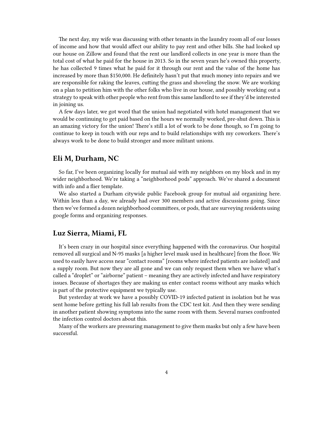The next day, my wife was discussing with other tenants in the laundry room all of our losses of income and how that would affect our ability to pay rent and other bills. She had looked up our house on Zillow and found that the rent our landlord collects in one year is more than the total cost of what he paid for the house in 2013. So in the seven years he's owned this property, he has collected 9 times what he paid for it through our rent and the value of the home has increased by more than \$150,000. He definitely hasn't put that much money into repairs and we are responsible for raking the leaves, cutting the grass and shoveling the snow. We are working on a plan to petition him with the other folks who live in our house, and possibly working out a strategy to speak with other people who rent from this same landlord to see if they'd be interested in joining us.

A few days later, we got word that the union had negotiated with hotel management that we would be continuing to get paid based on the hours we normally worked, pre-shut down. This is an amazing victory for the union! There's still a lot of work to be done though, so I'm going to continue to keep in touch with our reps and to build relationships with my coworkers. There's always work to be done to build stronger and more militant unions.

### <span id="page-3-0"></span>**Eli M, Durham, NC**

So far, I've been organizing locally for mutual aid with my neighbors on my block and in my wider neighborhood. We're taking a "neighborhood pods" approach. We've shared a document with info and a flier template.

We also started a Durham citywide public Facebook group for mutual aid organizing here. Within less than a day, we already had over 300 members and active discussions going. Since then we've formed a dozen neighborhood committees, or pods, that are surveying residents using google forms and organizing responses.

#### <span id="page-3-1"></span>**Luz Sierra, Miami, FL**

It's been crazy in our hospital since everything happened with the coronavirus. Our hospital removed all surgical and N-95 masks [a higher level mask used in healthcare] from the floor. We used to easily have access near "contact rooms" [rooms where infected patients are isolated] and a supply room. But now they are all gone and we can only request them when we have what's called a "droplet" or "airborne" patient – meaning they are actively infected and have respiratory issues. Because of shortages they are making us enter contact rooms without any masks which is part of the protective equipment we typically use.

But yesterday at work we have a possibly COVID-19 infected patient in isolation but he was sent home before getting his full lab results from the CDC test kit. And then they were sending in another patient showing symptoms into the same room with them. Several nurses confronted the infection control doctors about this.

Many of the workers are pressuring management to give them masks but only a few have been successful.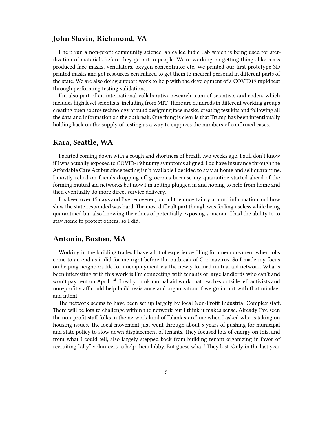### <span id="page-4-0"></span>**John Slavin, Richmond, VA**

I help run a non-profit community science lab called Indie Lab which is being used for sterilization of materials before they go out to people. We're working on getting things like mass produced face masks, ventilators, oxygen concentrator etc. We printed our first prototype 3D printed masks and got resources centralized to get them to medical personal in different parts of the state. We are also doing support work to help with the development of a COVID19 rapid test through performing testing validations.

I'm also part of an international collaborative research team of scientists and coders which includes high level scientists, including from MIT. There are hundreds in different working groups creating open source technology around designing face masks, creating test kits and following all the data and information on the outbreak. One thing is clear is that Trump has been intentionally holding back on the supply of testing as a way to suppress the numbers of confirmed cases.

#### <span id="page-4-1"></span>**Kara, Seattle, WA**

I started coming down with a cough and shortness of breath two weeks ago. I still don't know if I was actually exposed to COVID-19 but my symptoms aligned. I do have insurance through the Affordable Care Act but since testing isn't available I decided to stay at home and self quarantine. I mostly relied on friends dropping off groceries because my quarantine started ahead of the forming mutual aid networks but now I'm getting plugged in and hoping to help from home and then eventually do more direct service delivery.

It's been over 15 days and I've recovered, but all the uncertainty around information and how slow the state responded was hard. The most difficult part though was feeling useless while being quarantined but also knowing the ethics of potentially exposing someone. I had the ability to to stay home to protect others, so I did.

#### <span id="page-4-2"></span>**Antonio, Boston, MA**

Working in the building trades I have a lot of experience filing for unemployment when jobs come to an end as it did for me right before the outbreak of Coronavirus. So I made my focus on helping neighbors file for unemployment via the newly formed mutual aid network. What's been interesting with this work is I'm connecting with tenants of large landlords who can't and won't pay rent on April 1<sup>st</sup>. I really think mutual aid work that reaches outside left activists and non-profit staff could help build resistance and organization if we go into it with that mindset and intent.

The network seems to have been set up largely by local Non-Profit Industrial Complex staff. There will be lots to challenge within the network but I think it makes sense. Already I've seen the non-profit staff folks in the network kind of "blank stare" me when I asked who is taking on housing issues. The local movement just went through about 5 years of pushing for municipal and state policy to slow down displacement of tenants. They focused lots of energy on this, and from what I could tell, also largely stepped back from building tenant organizing in favor of recruiting "ally" volunteers to help them lobby. But guess what? They lost. Only in the last year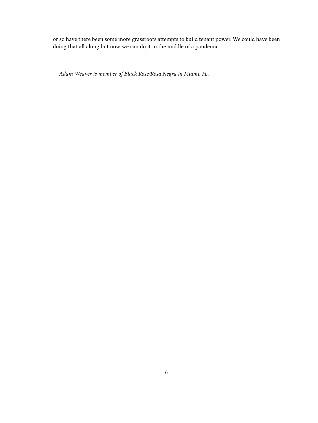or so have there been some more grassroots attempts to build tenant power. We could have been doing that all along but now we can do it in the middle of a pandemic.

*Adam Weaver is member of Black Rose/Rosa Negra in Miami, FL.*